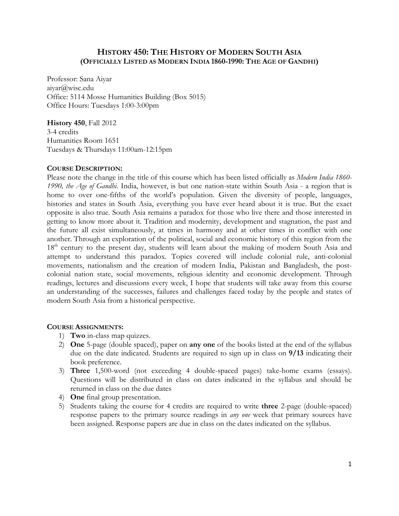# **HISTORY 450: THE HISTORY OF MODERN SOUTH ASIA (OFFICIALLY LISTED AS MODERN INDIA 1860-1990: THE AGE OF GANDHI)**

Professor: Sana Aiyar aiyar@wisc.edu Office: 5114 Mosse Humanities Building (Box 5015) Office Hours: Tuesdays 1:00-3:00pm

#### **History 450**, Fall 2012

3-4 credits Humanities Room 1651 Tuesdays & Thursdays 11:00am-12:15pm

## **COURSE DESCRIPTION:**

Please note the change in the title of this course which has been listed officially as *Modern India 1860- 1990, the Age of Gandhi*. India, however, is but one nation-state within South Asia - a region that is home to over one-fifths of the world's population. Given the diversity of people, languages, histories and states in South Asia, everything you have ever heard about it is true. But the exact opposite is also true. South Asia remains a paradox for those who live there and those interested in getting to know more about it. Tradition and modernity, development and stagnation, the past and the future all exist simultaneously, at times in harmony and at other times in conflict with one another. Through an exploration of the political, social and economic history of this region from the 18<sup>th</sup> century to the present day, students will learn about the making of modern South Asia and attempt to understand this paradox. Topics covered will include colonial rule, anti-colonial movements, nationalism and the creation of modern India, Pakistan and Bangladesh, the postcolonial nation state, social movements, religious identity and economic development. Through readings, lectures and discussions every week, I hope that students will take away from this course an understanding of the successes, failures and challenges faced today by the people and states of modern South Asia from a historical perspective.

## **COURSE ASSIGNMENTS:**

- 1) **Two** in-class map quizzes.
- 2) **One** 5-page (double spaced), paper on **any one** of the books listed at the end of the syllabus due on the date indicated. Students are required to sign up in class on **9/13** indicating their book preference.
- 3) **Three** 1,500-word (not exceeding 4 double-spaced pages) take-home exams (essays). Questions will be distributed in class on dates indicated in the syllabus and should be returned in class on the due dates
- 4) **One** final group presentation.
- 5) Students taking the course for 4 credits are required to write **three** 2-page (double-spaced) response papers to the primary source readings in *any one* week that primary sources have been assigned. Response papers are due in class on the dates indicated on the syllabus.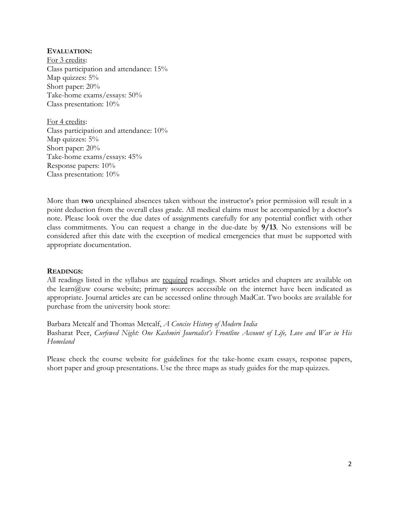## **EVALUATION:**

For 3 credits: Class participation and attendance: 15% Map quizzes:  $5\%$ Short paper: 20% Take-home exams/essays: 50% Class presentation: 10%

For 4 credits: Class participation and attendance: 10% Map quizzes: 5% Short paper: 20% Take-home exams/essays: 45% Response papers: 10% Class presentation: 10%

More than **two** unexplained absences taken without the instructor's prior permission will result in a point deduction from the overall class grade. All medical claims must be accompanied by a doctor's note. Please look over the due dates of assignments carefully for any potential conflict with other class commitments. You can request a change in the due-date by **9/13**. No extensions will be considered after this date with the exception of medical emergencies that must be supported with appropriate documentation.

## **READINGS:**

All readings listed in the syllabus are required readings. Short articles and chapters are available on the learn@uw course website; primary sources accessible on the internet have been indicated as appropriate. Journal articles are can be accessed online through MadCat. Two books are available for purchase from the university book store:

Barbara Metcalf and Thomas Metcalf, *A Concise History of Modern India* Basharat Peer, *Curfewed Night: One Kashmiri Journalist's Frontline Account of Life, Love and War in His Homeland*

Please check the course website for guidelines for the take-home exam essays, response papers, short paper and group presentations. Use the three maps as study guides for the map quizzes.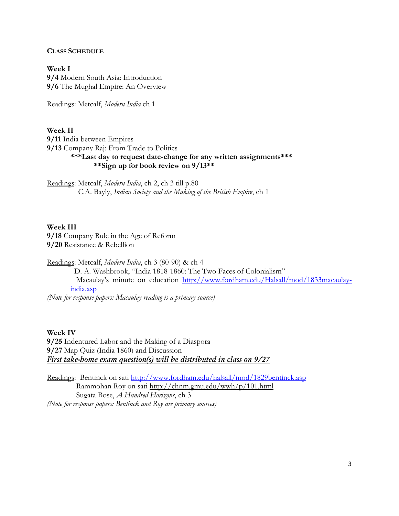#### **CLASS SCHEDULE**

**Week I 9/4** Modern South Asia: Introduction **9/6** The Mughal Empire: An Overview

Readings: Metcalf, *Modern India* ch 1

**Week II** 

**9/11** India between Empires **9/13** Company Raj: From Trade to Politics **\*\*\*Last day to request date-change for any written assignments\*\*\* \*\*Sign up for book review on 9/13\*\*** 

Readings: Metcalf, *Modern India*, ch 2, ch 3 till p.80 C.A. Bayly, *Indian Society and the Making of the British Empire*, ch 1

**Week III 9/18** Company Rule in the Age of Reform **9/20** Resistance & Rebellion

Readings: Metcalf, *Modern India*, ch 3 (80-90) & ch 4

D. A. Washbrook, "India 1818-1860: The Two Faces of Colonialism" Macaulay's minute on education http://www.fordham.edu/Halsall/mod/1833macaulayindia.asp

*(Note for response papers: Macaulay reading is a primary source)* 

**Week IV** 

**9/25** Indentured Labor and the Making of a Diaspora **9/27** Map Quiz (India 1860) and Discussion *First take-home exam question(s) will be distributed in class on 9/27* 

Readings: Bentinck on sati http://www.fordham.edu/halsall/mod/1829bentinck.asp Rammohan Roy on sati http://chnm.gmu.edu/wwh/p/101.html Sugata Bose, *A Hundred Horizons*, ch 3 *(Note for response papers: Bentinck and Roy are primary sources)*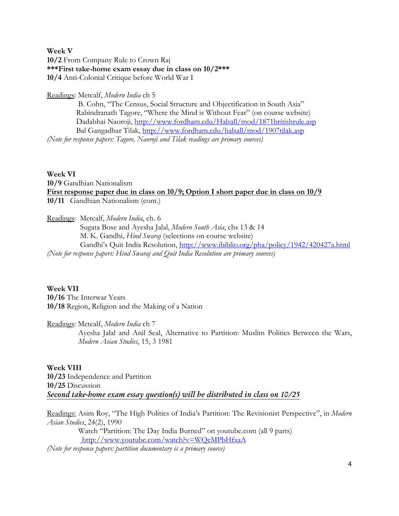## **Week V 10/2** From Company Rule to Crown Raj **\*\*\*First take-home exam essay due in class on 10/2\*\*\* 10/4** Anti-Colonial Critique before World War I

## Readings: Metcalf, *Modern India* ch 5

 B. Cohn, "The Census, Social Structure and Objectification in South Asia" Rabindranath Tagore, "Where the Mind is Without Fear" (on course website) Dadabhai Naoroji, http://www.fordham.edu/Halsall/mod/1871britishrule.asp Bal Gangadhar Tilak, http://www.fordham.edu/halsall/mod/1907tilak.asp *(Note for response papers: Tagore, Naoroji and Tilak readings are primary sources)*

## **Week VI**

**10/9** Gandhian Nationalism **First response paper due in class on 10/9; Option I short paper due in class on 10/9 10/11** Gandhian Nationalism (cont.)

Readings: Metcalf, *Modern India*, ch. 6

Sugata Bose and Ayesha Jalal, *Modern South Asia*, chs 13 & 14 M. K. Gandhi, *Hind Swaraj* (selections on course website) Gandhi's Quit India Resolution, http://www.ibiblio.org/pha/policy/1942/420427a.html *(Note for response papers: Hind Swaraj and Quit India Resolution are primary sources)*

**Week VII 10/16** The Interwar Years **10/18** Region, Religion and the Making of a Nation

Readings: Metcalf, *Modern India* ch 7

Ayesha Jalal and Anil Seal, Alternative to Partition: Muslim Politics Between the Wars, *Modern Asian Studies*, 15, 3 1981

**Week VIII 10/23** Independence and Partition **10/25** Discussion *Second take-home exam essay question(s) will be distributed in class on 10/25* 

Readings: Asim Roy, "The High Politics of India's Partition: The Revisionist Perspective", in *Modern Asian Studies*, 24(2), 1990

 Watch "Partition: The Day India Burned" on youtube.com (all 9 parts) http://www.youtube.com/watch?v=WQcMPbHfxaA

*(Note for response papers: partition documentary is a primary source)*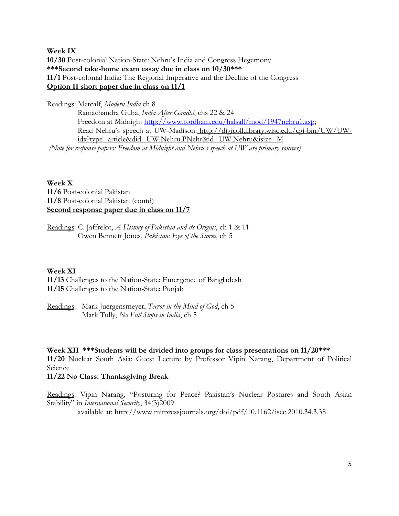**Week IX 10/30** Post-colonial Nation-State: Nehru's India and Congress Hegemony **\*\*\*Second take-home exam essay due in class on 10/30\*\*\* 11/1** Post-colonial India: The Regional Imperative and the Decline of the Congress **Option II short paper due in class on 11/1** 

Readings: Metcalf, *Modern India* ch 8 Ramachandra Guha, *India After Gandhi*, chs 22 & 24 Freedom at Midnight http://www.fordham.edu/halsall/mod/1947nehru1.asp; Read Nehru's speech at UW-Madison: http://digicoll.library.wisc.edu/cgi-bin/UW/UWidx?type=article&did=UW.Nehru.PNehr&id=UW.Nehru&isize=M  *(Note for response papers: Freedom at Midnight and Nehru's speech at UW are primary sources)*

**Week X 11/6** Post-colonial Pakistan **11/8** Post-colonial Pakistan (contd) **Second response paper due in class on 11/7** 

Readings: C. Jaffrelot, *A History of Pakistan and its Origins*, ch 1 & 11 Owen Bennett Jones, *Pakistan: Eye of the Storm*, ch 5

## **Week XI**

**11/13** Challenges to the Nation-State: Emergence of Bangladesh **11/15** Challenges to the Nation-State: Punjab

Readings: Mark Juergensmeyer, *Terror in the Mind of God*, ch 5 Mark Tully, *No Full Stops in India*, ch 5

**Week XII \*\*\*Students will be divided into groups for class presentations on 11/20\*\*\* 11/20** Nuclear South Asia: Guest Lecture by Professor Vipin Narang, Department of Political Science

## **11/22 No Class: Thanksgiving Break**

Readings: Vipin Narang, "Posturing for Peace? Pakistan's Nuclear Postures and South Asian Stability" in *International Security*, 34(3)2009 available at: http://www.mitpressjournals.org/doi/pdf/10.1162/isec.2010.34.3.38